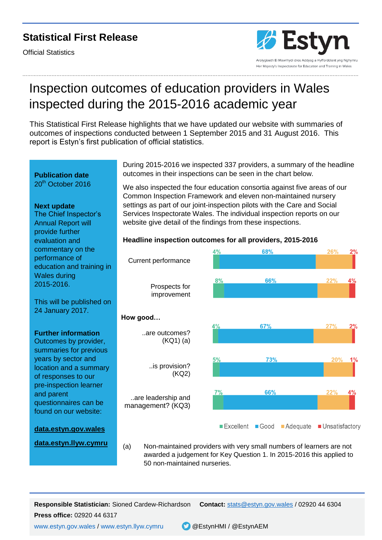### **Statistical First Release**

Official Statistics



### ………………………………………………………………………………………………………………………………………………………………………………………

 $1%$ 

 $4%$ 

# Inspection outcomes of education providers in Wales inspected during the 2015-2016 academic year

This Statistical First Release highlights that we have updated our website with summaries of outcomes of inspections conducted between 1 September 2015 and 31 August 2016. This report is Estyn's first publication of official statistics.

During 2015-2016 we inspected 337 providers, a summary of the headline outcomes in their inspections can be seen in the chart below. **Publication date** 20<sup>th</sup> October 2016 We also inspected the four education consortia against five areas of our Common Inspection Framework and eleven non-maintained nursery settings as part of our joint-inspection pilots with the Care and Social **Next update** Services Inspectorate Wales. The individual inspection reports on our The Chief Inspector's website give detail of the findings from these inspections. Annual Report will provide further **Headline inspection outcomes for all providers, 2015-2016** evaluation and commentary on the 4% 68% 26%  $2%$ performance of Current performance education and training in Wales during  $8%$ 66%  $22%$  $\mathbf{\Lambda}^{\mathbf{0}}$ 2015-2016. Prospects for improvement This will be published on 24 January 2017.  **How good…** 67%  $27%$  $2%$ **Further information** ..are outcomes? (KQ1) (a) Outcomes by provider, summaries for previous

5% 73% 20% ..is provision? (KQ2)  $7%$ 66%  $22%$ ..are leadership and management? (KQ3) ■ Excellent ■ Good ■ Adequate ■ Unsatisfactory

### **[data.estyn.gov.wales](http://data.estyn.gov.wales/)**

questionnaires can be found on our website:

years by sector and location and a summary of responses to our pre-inspection learner

and parent

(a) Non-maintained providers with very small numbers of learners are not awarded a judgement for Key Question 1. In 2015-2016 this applied to 50 non-maintained nurseries. **[data.estyn.llyw.cymru](http://data.estyn.llyw.cymru/)**

**Responsible Statistician:** Sioned Cardew-Richardson **Contact:** [stats@estyn.gov.wales](mailto:stats@estyn.gov.wales) / 02920 44 6304

**Press office:** 02920 44 6317

[www.estyn.gov.wales](http://www.estyn.gov.wales/) / [www.estyn.llyw.cymru](http://www.estyn.llyw.cymru/) @EstynHMI / @EstynAEM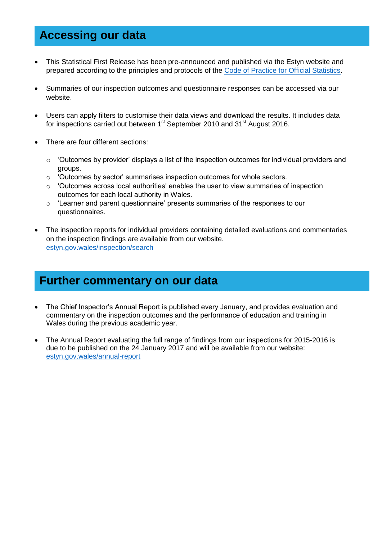### **Accessing our data**

- This Statistical First Release has been pre-announced and published via the Estyn website and prepared according to the principles and protocols of the [Code of Practice for Official Statistics.](https://www.statisticsauthority.gov.uk/monitoring-and-assessment/code-of-practice/)
- Summaries of our inspection outcomes and questionnaire responses can be accessed via our website.
- Users can apply filters to customise their data views and download the results. It includes data for inspections carried out between 1<sup>st</sup> September 2010 and 31<sup>st</sup> August 2016.
- There are four different sections:
	- $\circ$  'Outcomes by provider' displays a list of the inspection outcomes for individual providers and groups.
	- o 'Outcomes by sector' summarises inspection outcomes for whole sectors.
	- o 'Outcomes across local authorities' enables the user to view summaries of inspection outcomes for each local authority in Wales.
	- $\circ$  'Learner and parent questionnaire' presents summaries of the responses to our questionnaires.
- The inspection reports for individual providers containing detailed evaluations and commentaries on the inspection findings are available from our website. [estyn.gov.wales/inspection/search](https://www.estyn.gov.wales/inspection/search)

### **Further commentary on our data**

- The Chief Inspector's Annual Report is published every January, and provides evaluation and commentary on the inspection outcomes and the performance of education and training in Wales during the previous academic year.
- The Annual Report evaluating the full range of findings from our inspections for 2015-2016 is due to be published on the 24 January 2017 and will be available from our website: [estyn.gov.wales/annual-report](https://www.estyn.gov.wales/annual-report)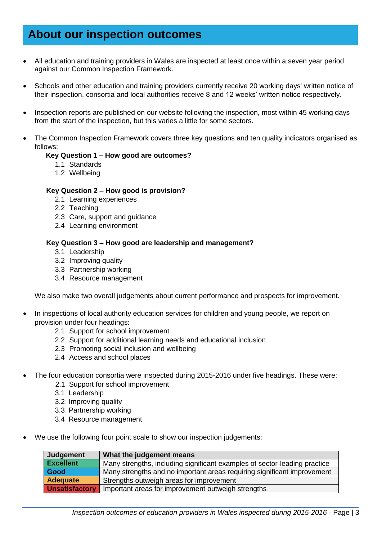## **About our inspection outcomes**

- All education and training providers in Wales are inspected at least once within a seven year period against our Common Inspection Framework.
- Schools and other education and training providers currently receive 20 working days' written notice of their inspection, consortia and local authorities receive 8 and 12 weeks' written notice respectively.
- Inspection reports are published on our website following the inspection, most within 45 working days from the start of the inspection, but this varies a little for some sectors.
- The Common Inspection Framework covers three key questions and ten quality indicators organised as follows:

#### **Key Question 1 – How good are outcomes?**

- 1.1 Standards
- 1.2 Wellbeing

#### **Key Question 2 – How good is provision?**

- 2.1 Learning experiences
- 2.2 Teaching
- 2.3 Care, support and guidance
- 2.4 Learning environment

#### **Key Question 3 – How good are leadership and management?**

- 3.1 Leadership
- 3.2 Improving quality
- 3.3 Partnership working
- 3.4 Resource management

We also make two overall judgements about current performance and prospects for improvement.

- In inspections of local authority education services for children and young people, we report on provision under four headings:
	- 2.1 Support for school improvement
	- 2.2 Support for additional learning needs and educational inclusion
	- 2.3 Promoting social inclusion and wellbeing
	- 2.4 Access and school places
- The four education consortia were inspected during 2015-2016 under five headings. These were:
	- 2.1 Support for school improvement
	- 3.1 Leadership
	- 3.2 Improving quality
	- 3.3 Partnership working
	- 3.4 Resource management
- We use the following four point scale to show our inspection judgements:

| Judgement             | What the judgement means                                                  |  |
|-----------------------|---------------------------------------------------------------------------|--|
| <b>Excellent</b>      | Many strengths, including significant examples of sector-leading practice |  |
| Good                  | Many strengths and no important areas requiring significant improvement   |  |
| <b>Adequate</b>       | Strengths outweigh areas for improvement                                  |  |
| <b>Unsatisfactory</b> | Important areas for improvement outweigh strengths                        |  |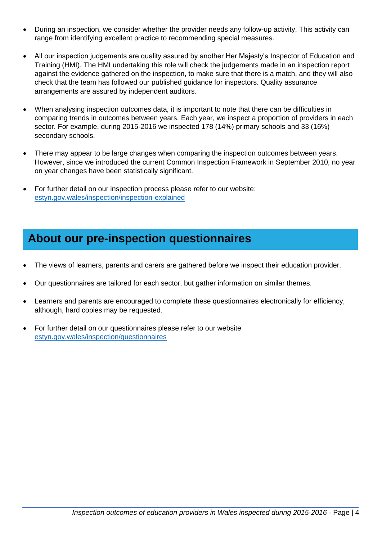- During an inspection, we consider whether the provider needs any follow-up activity. This activity can range from identifying excellent practice to recommending special measures.
- All our inspection judgements are quality assured by another Her Majesty's Inspector of Education and Training (HMI). The HMI undertaking this role will check the judgements made in an inspection report against the evidence gathered on the inspection, to make sure that there is a match, and they will also check that the team has followed our published guidance for inspectors. Quality assurance arrangements are assured by independent auditors.
- When analysing inspection outcomes data, it is important to note that there can be difficulties in comparing trends in outcomes between years. Each year, we inspect a proportion of providers in each sector. For example, during 2015-2016 we inspected 178 (14%) primary schools and 33 (16%) secondary schools.
- There may appear to be large changes when comparing the inspection outcomes between years. However, since we introduced the current Common Inspection Framework in September 2010, no year on year changes have been statistically significant.
- For further detail on our inspection process please refer to our website: [estyn.gov.wales/inspection/inspection-explained](https://www.estyn.gov.wales/inspection/inspection-explained)

## **About our pre-inspection questionnaires**

- The views of learners, parents and carers are gathered before we inspect their education provider.
- Our questionnaires are tailored for each sector, but gather information on similar themes.
- Learners and parents are encouraged to complete these questionnaires electronically for efficiency, although, hard copies may be requested.
- For further detail on our questionnaires please refer to our website [estyn.gov.wales/inspection/questionnaires](https://www.estyn.gov.wales/inspection/questionnaires)